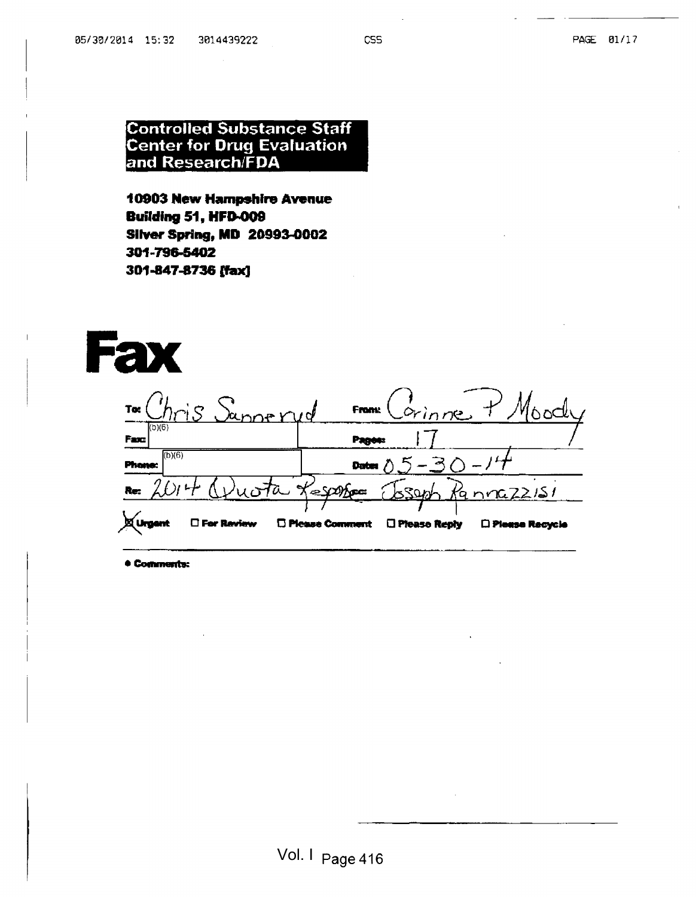## Controlled Substance Staff Center for Drug Evaluation and Research/FDA

10903 New Hampshire Avenue **Building 51, HFD-009** Silver Spring, MD 20993-0002 301-796-5402 301-847-8736 (fax]



• Comments:

I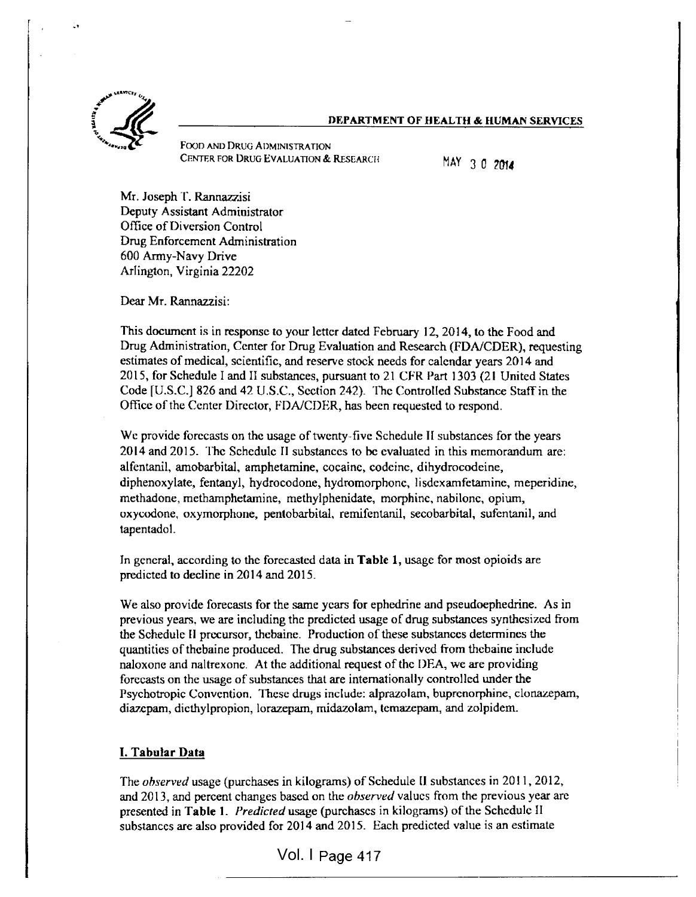#### DEPARTMENT OF HEALTH & HUMAN SERVICES



Food and Drug Administration CENTER FOR DRUG EVALUATION & RESEARCH MAY 3 0 2014

Mr. Joseph T. Rannazzisi Deputy Assistant Administrator Office of Diversion Control Drug Enforcement Administration 600 Army-Navy Drive Arlington, Virginia 22202

Dear Mr. Rannazzisi:

This document is in response to your letter dated February 12, 2014, to the Food and Drug Administration, Center for Drug Evaluation and Research (FDA/CDER), requesting estimates of medical, scientific, and reserve stock needs for calendar years 2014 and 2015, for Schedule I and II substances, pursuant to <sup>21</sup> CFR Part 1303 (21 United States Code [U.S.C.J 826 and 42 U.S.C., Section 242). The Controlled Substance Staff in the Office of the Center Director, FDA/CDER, has been requested to respond.

Wc provide forecasts on the usage of twenty-five Schedule II substances for the years 2014 and 2015. The Schedule II substances to be evaluated in this memorandum are; alfentanil, amobarbital, amphetamine, cocaine, codeine, dihydrocodeine, diphenoxylate, fentanyl, hydrocodone, hydromorphonc, lisdexamfetamine, meperidine, methadone, methamphetamine, methylphenidate, morphine, nabilonc, opium, oxycodone, oxymorphone, pentobarbital, remifentanil, secobarbital, sufentanil, and tapentadol.

In general, according to the forecasted data in Table 1, usage for most opioids are predicted to decline in 2014 and 2015.

We also provide forecasts for the same years for ephedrine and pseudoephedrine. As in previous years, we are including the predicted usage of drug substances synthesized from the Schedule II precursor, thebaine. Production of these substances determines the quantities of thebaine produced. The drug substances derived from thebaine include naloxone and naltrexone. At the additional request of the DEA, we are providing forecasts on the usage of substances that are internationally controlled under the Psychotropic Convention. These drugs include: alprazolam, buprenorphine, clonazepam, diazepam, diethylpropion, lorazepam, midazolam, temazepam, and Zolpidem.

### I. Tabular Data

The observed usage (purchases in kilograms) of Schedule II substances in 2011, 2012, and 2013, and percent changes based on the *observed* values from the previous year are presented in Table 1. Predicted usage (purchases in kilograms) of the Schedule II substances are also provided for 2014 and 2015. Each predicted value is an estimate

Vol. I Vol. <sup>I</sup> Page 417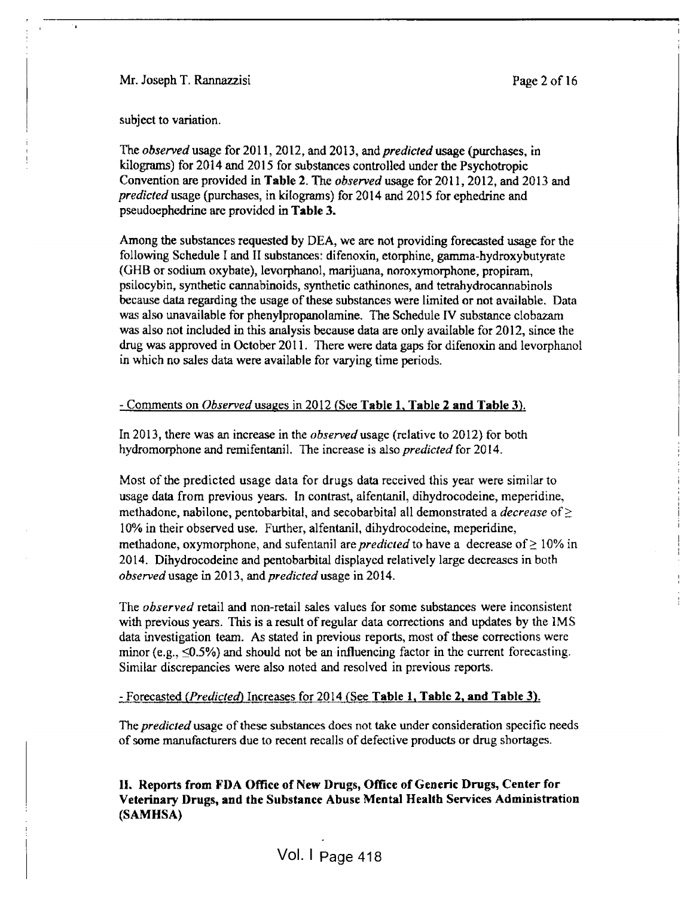Mr. Joseph T. Rannazzisi Page 2 of 16

I

subject to variation.

The observed usage for 2011, 2012, and 2013, and *predicted* usage (purchases, in kilograms) for 2014 and 2015 for substances controlled under the Psychotropic Convention are provided in Table 2. The observed usage for 201 1, 2012, and 2013 and predicted usage (purchases, in kilograms) for 2014 and 2015 for ephedrine and pseudoephedrine are provided in Table 3.

Among the substances requested by DEA, we are not providing forecasted usage for the following Schedule I and II substances: difenoxin, etorphine, gamma-hydroxybutyrate (GHB or sodium oxybate), levorphanol, marijuana, noroxymorphone, propiram, psilocybin, synthetic cannabinoids, synthetic cathinones, and tetrahydrocannabinols because data regarding the usage of these substances were limited or not available. Data was also unavailable for phenylpropanolamine. The Schedule IV substance clobazam was also not included in this analysis because data are only available for 2012, since the drug was approved in October 2011. There were data gaps for difenoxin and levorphanol in which no sales data were available for varying time periods.

### - Comments on Observed usages in 2012 (See Table 1, Table 2 and Table 3).

In 2013, there was an increase in the observed usage (relative to 2012) for both hydromorphone and remifentanil. The increase is also *predicted* for 2014.

Most of the predicted usage data for drugs data received this year were similar to usage data from previous years. In contrast, alfentanil, dihydrocodeine, meperidine, methadone, nabilone, pentobarbital, and secobarbital all demonstrated a *decrease* of  $\geq$ 10% in their observed use. Further, alfentanil, dihydrocodeine, meperidine, methadone, oxymorphone, and sufentanil are *predicted* to have a decrease of  $\geq 10\%$  in 2014. Dihydrocodeine and pentobarbital displayed relatively large decreases in both observed usage in 2013, and predicted usage in 2014.

The *observed* retail and non-retail sales values for some substances were inconsistent with previous years. This is a result of regular data corrections and updates by the IMS data investigation team. As stated in previous reports, most of these corrections were minor (e.g.,  $\leq 0.5\%$ ) and should not be an influencing factor in the current forecasting. Similar discrepancies were also noted and resolved in previous reports.

### - Forecasted (Predicted) Increases for 2014 (See Table 1, Table 2, and Table 3).

The *predicted* usage of these substances does not take under consideration specific needs of some manufacturers due to recent recalls of defective products or drug shortages.

II. Reports from FDA Office of New Drugs, Office of Generic Drugs, Center for Veterinary Drugs, and the Substance Abuse Mental Health Services Administration (SAMHSA)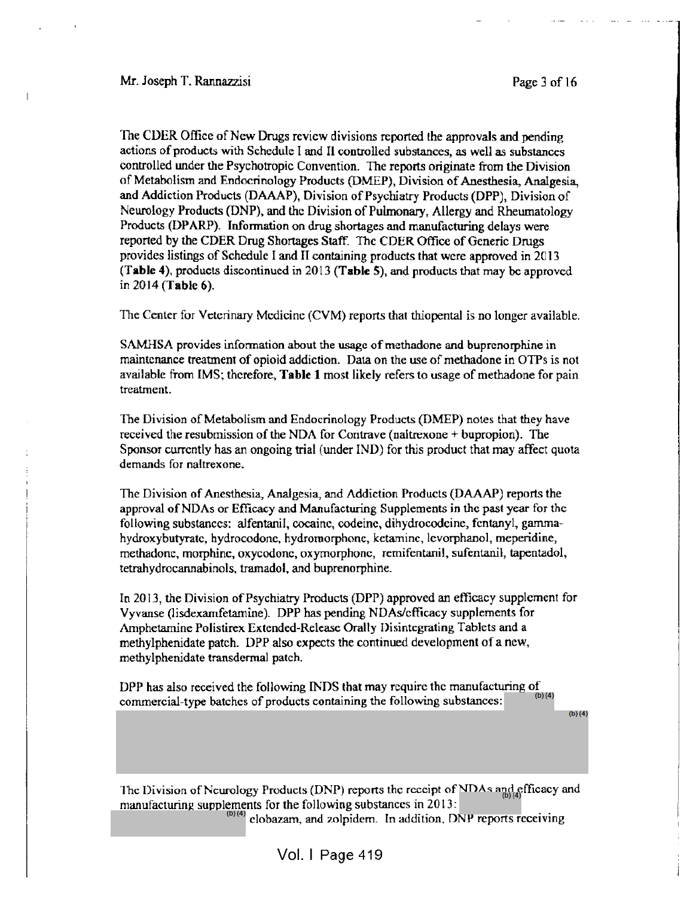l

I

The CDER Office of New Drugs review divisions reported the approvals and pending actions of products with Schedule I and II controlled substances, as well as substances controlled under the Psychotropic Convention. The reports originate from the Division of Metabolism and Endocrinology Products (DMEP), Division of Anesthesia, Analgesia, and Addiction Products (DAAAP), Division of Psychiatry Products (DPP), Division of Neurology Products (DNP), and the Division of Pulmonary, Allergy and Rheumatology Products (DPARP). Information on drug shortages and manufacturing delays were reported by the CDER Drug Shortages Staff. The CDER Office of Generic Drugs provides listings of Schedule <sup>I</sup> and II containing products that were approved in 2013 (Table 4), products discontinued in 2013 (Table 5), and products that may be approved in 2014 (Table 6).

The Center for Veterinary Medicine (CVM) reports that thiopental is no longer available.

SAMHSA provides information about the usage of methadone and buprcnorphine in maintenance treatment of opioid addiction. Data on the use of methadone in OTPs is not available from IMS; therefore, Table <sup>1</sup> most likely refers to usage of methadone for pain treatment.

The Division of Metabolism and Endocrinology Products (DMEP) notes that they have received the resubmission of the NDA for Conlrave (naltrexone + bupropion). The Sponsor currently has an ongoing trial (under IND) for this product that may affect quota demands for naltrexone.

The Division of Anesthesia, Analgesia, and Addiction Products (DAAAP) reports the approval of NDAs or Efficacy and Manufacturing Supplements in the past year for the following substances: alfentanil, cocaine, codeine, dihydrocodeine, fentanyl, gammahydroxybutyratc, hydrocodonc, hydromorphonc, kctaminc, lcvorphanol, meperidine, methadone, morphine, oxycodone, oxymorphonc, remifcntanil, sufentanil, tapentadol, tetrahydrocannabinols, tramadol, and buprcnorphine.

In 2013, the Division of Psychiatry Products (DPP) approved an efficacy supplement for Vyvanse (lisdcxanifetamine). DPP has pending NDAs/cfficacy supplements for Amphetamine Polistirex Extended-Release Orally Disintegrating Tablets and a methylphenidate patch. DPP also expects the continued development of a new, methylphenidate transdermal patch.

DPP has also received the following INDS that may require the manufacturing of commercial-type batches of products containing the following substances: (b) (4)

(b)(4)

The Division of Neurology Products (DNP) reports the receipt of NDAs and efficacy and manufacturing supplements for the following substances in 2013: (b)(4) clobazam, and zolpidem. In addition, DNP reports receiving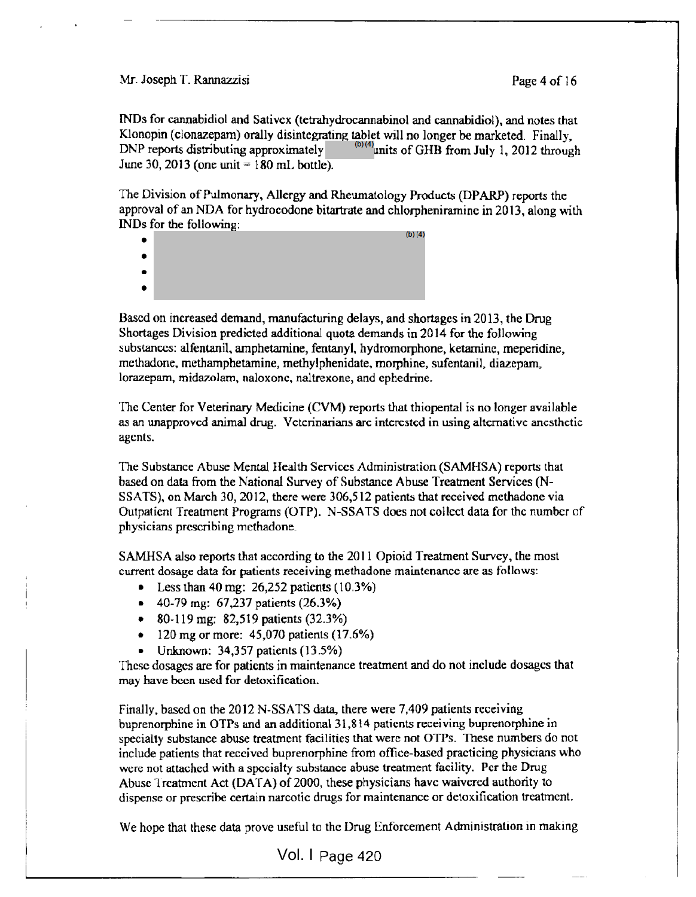#### Mr. Joseph T. Rannazzisi Page 4 of 16

INDs for cannabidiol and Sativcx (tetrahydrocannabinol and cannabidiol), and notes that KJonopin (clonazepam) orally disintegrating tablet will no longer be marketed. Finally, DNP reports distributing approximately June 30, 2013 (one unit  $= 180$  mL bottle). <sup>(b)(4)</sup>units of GHB from July 1, 2012 through

The Division of Pulmonary, Allergy and Rheumatology Products (DPARP) reports the approval of an NDA for hydrocodone bitartrate and chlorpheniramine in 2013, along with INDs for the following: (b)(4)

- $\bullet$
- $\bullet$  $\bullet$
- 

Based on increased demand, manufacturing delays, and shortages in 2013, the Drug Shortages Division predicted additional quota demands in 2014 for the following substances: alfentanil, amphetamine, fentanyl, hydromorphone, ketaminc, meperidine, methadone, methamphetamine, methylphenidate, morphine, sufentanil, diazepam, lorazepam, midazolam, naloxone, naltrexone, and cphedrine.

The Center for Veterinary Medicine (CVM) reports that thiopental is no longer available as an unapproved animal drug. Veterinarians are interested in using alternative anesthetic agents.

The Substance Abuse Mental Health Services Administration (SAMHSA) reports that based on data from the National Survey of Substance Abuse Treatment Services (N-SSATS), on March 30, 2012, there were 306,512 patients that received methadone via Outpatient Treatment Programs (OTP). N-SSATS docs not collect data for the number of physicians prescribing methadone.

SAMHSA also reports that according to the 201 <sup>1</sup> Opioid Treatment Survey, the most current dosage data for patients receiving methadone maintenance are as follows:

- Less than 40 mg:  $26,252$  patients  $(10.3\%)$
- 40-79 mg: 67,237 patients (26.3%)
- 80-119 mg: 82,519 patients (32.3%)
- 120 mg or more:  $45,070$  patients  $(17.6\%)$
- Unknown: 34,357 patients (13.5%)

These dosages are for patients in maintenance treatment and do not include dosages that may have been used for detoxification.

Finally, based on the 2012 N-SSATS data, there were 7,409 patients receiving buprenorphine in OTPs and an additional 3 <sup>1</sup> ,8 <sup>1</sup> 4 patients receiving buprenorphine in specialty substance abuse treatment facilities that were not OTPs. These numbers do not include patients that received buprenorphine from office-based practicing physicians who were not attached with a specialty substance abuse treatment facility. Per the Drug Abuse Treatment Act (DATA) of 2000, these physicians have waivered authority to dispense or prescribe certain narcotic drugs for maintenance or detoxification treatment.

We hope that these data prove useful to the Drug Enforcement Administration in making

Vol. I Page 420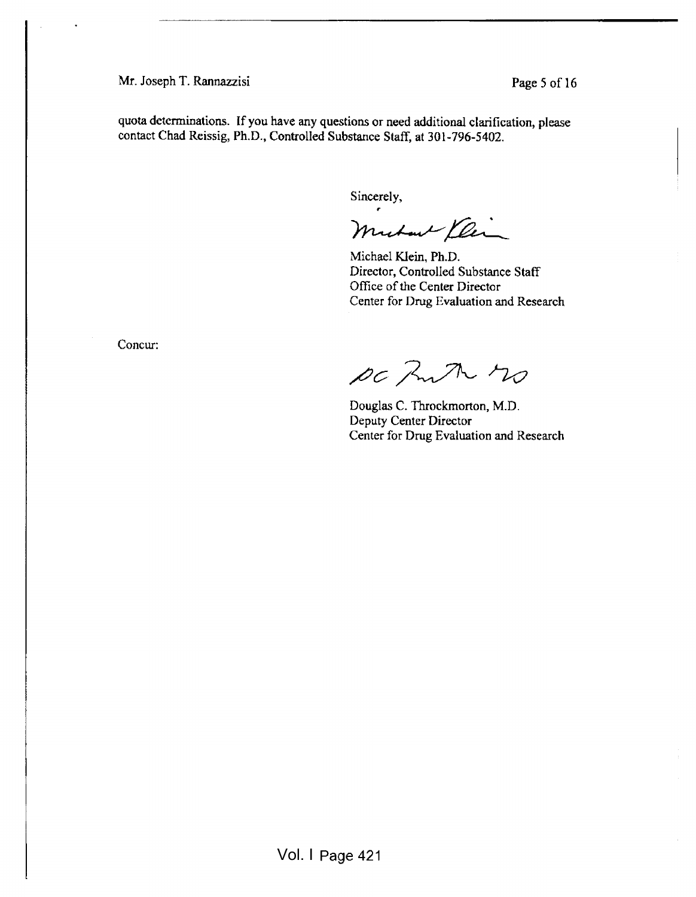Mr. Joseph T. Rannazzisi Page 5 of 16

quota determinations. If you have any questions or need additional clarification, please contact Chad Reissig, Ph.D., Controlled Substance Staff, at 301-796-5402.

Sincerely,

Muchant Ylin

Michael Klein, Ph.D. Director, Controlled Substance Staff Office of the Center Director Center for Drug Evaluation and Research

Concur:

DC Anth no

Douglas C. Throckmorton, M.D. Deputy Center Director Center for Drug Evaluation and Research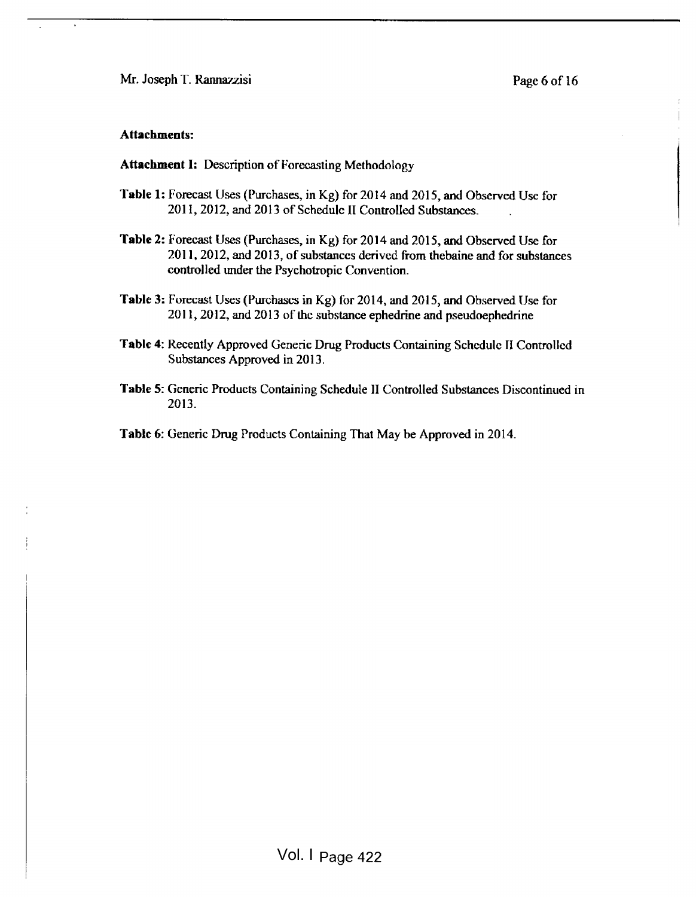Mr. Joseph T. Rannazzisi Page 6 of 16

#### Attachments:

Attachment I: Description of Forecasting Methodology

- Table 1: Forecast Uses (Purchases, in Kg) for 2014 and 2015, and Observed Use for 2011, 2012, and 2013 of Schedule II Controlled Substances.
- Table 2: Forecast Uses (Purchases, in Kg) for 2014 and 2015, and Observed Use for 201 1, 2012, and 2013, of substances derived from thcbaine and for substances controlled under the Psychotropic Convention.
- Table 3: Forecast Uses (Purchases in Kg) for 2014, and 2015, and Observed Use for 201 1, 2012, and 2013 of the substance ephedrine and pseudoephedrine
- Tabic 4: Recently Approved Generic Drug Products Containing Schedule II Controlled Substances Approved in 2013.
- Table 5: Generic Products Containing Schedule II Controlled Substances Discontinued in 2013.
- Table 6: Generic Drug Products Containing That May be Approved in 2014.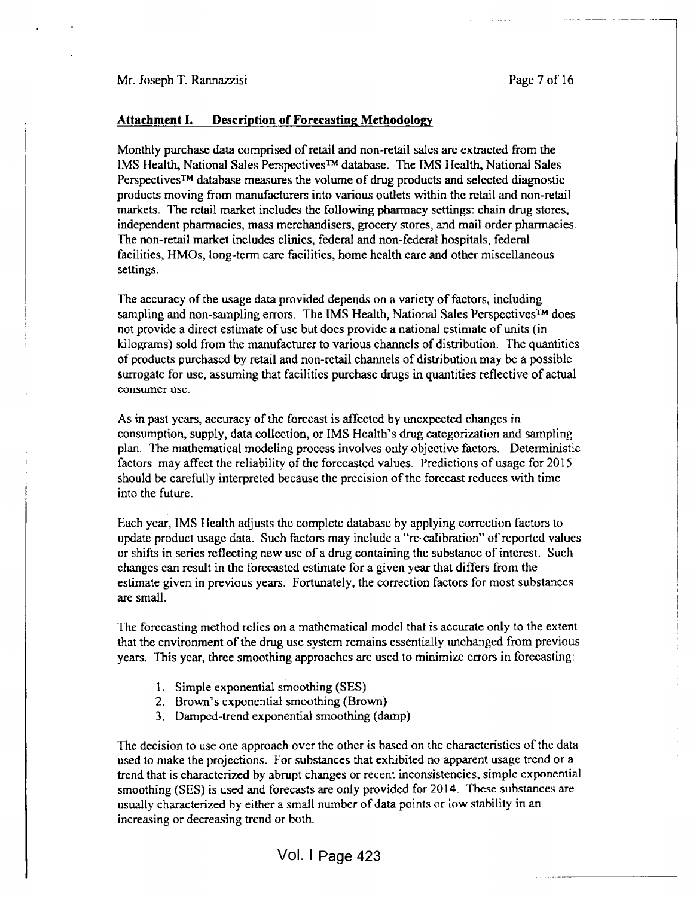#### Attachment I. Description of Forecasting Methodology

Monthly purchase data comprised of retail and non-retail sales are extracted from the IMS Health, National Sales Perspectives™ database. The IMS Health, National Sales Perspectives™ database measures the volume of drug products and selected diagnostic products moving from manufacturers into various outlets within the retail and non-retail markets. The retail market includes the following pharmacy settings: chain drug stores, independent pharmacies, mass merchandisers, grocery stores, and mail order pharmacies . The non-retail market includes clinics, federal and non-federal hospitals, federal facilities, HMOs, long-term care facilities, home health care and other miscellaneous settings.

The accuracy of the usage data provided depends on a variety of factors, including sampling and non-sampling errors. The IMS Health, National Sales Perspectives™ does not provide <sup>a</sup> direct estimate of use but does provide a national estimate of units (in kilograms) sold from the manufacturer to various channels of distribution. The quantities of products purchased by retail and non-retail channels of distribution may be <sup>a</sup> possible surrogate for use, assuming that facilities purchase drugs in quantities reflective of actual consumer use.

As in past years, accuracy of the forecast is affected by unexpected changes in consumption, supply, data collection, or IMS Health's drug categorization and sampling plan. The mathematical modeling process involves only objective factors. Deterministic factors may affect the reliability of the forecasted values. Predictions of usage for 2015 should be carefully interpreted because the precision of the forecast reduces with time into the future.

Each year, IMS Health adjusts the complete database by applying correction factors to update product usage data. Such factors may include <sup>a</sup> "re-calibration" of reported values or shifts in series reflecting new use of <sup>a</sup> drug containing the substance of interest. Such changes can result in the forecasted estimate for a given year that differs from the estimate given in previous years. Fortunately, the correction factors for most substances are small.  $\blacksquare$ 

The forecasting method relics on a mathematical model that is accurate only to the extent that the environment of the drug use system remains essentially unchanged from previous years. This year, three smoothing approaches are used to minimize errors in forecasting:

- 1. Simple exponential smoothing (SES)
- 2. Brown's exponential smoothing (Brown)
- 3. Damped-trend exponential smoothing (damp)

The decision to use one approach over the other is based on the characteristics of the data used to make the projections. For substances that exhibited no apparent usage trend or a trend that is characterized by abrupt changes or recent inconsistencies, simple exponential smoothing (SES) is used and forecasts are only provided for 2014. These substances are usually characterized by either <sup>a</sup> small number of data points or low stability in an increasing or decreasing trend or both.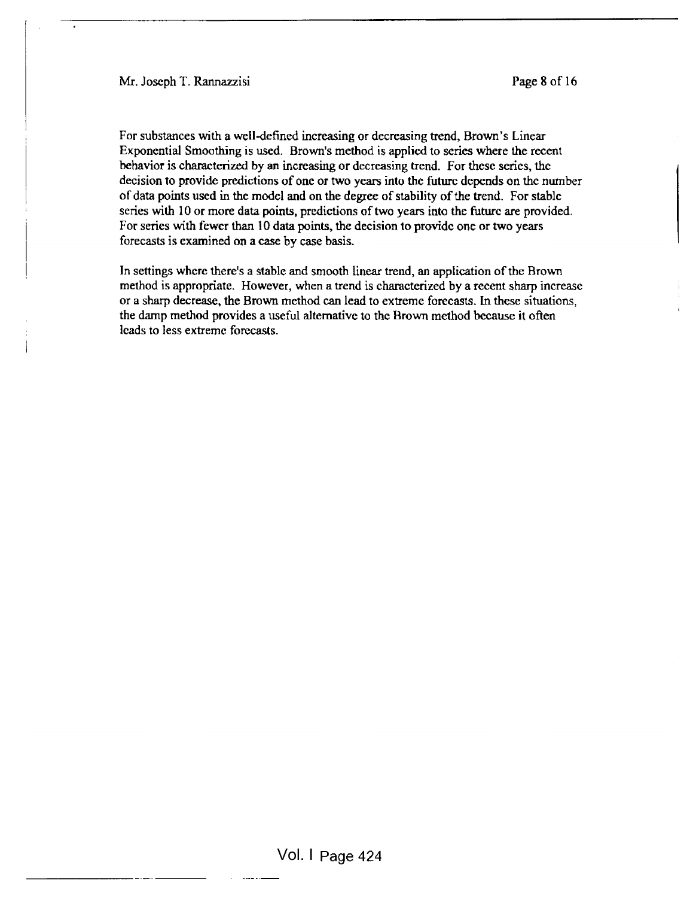Mr. Joseph T. Rannazzisi Page 8 of 16

For substances with a well-defined increasing or decreasing trend, Brown's Linear Exponential Smoothing is used. Brown's method is applied to series where the recent behavior is characterized by an increasing or decreasing trend. For these series, the decision to provide predictions of one or two years into the future depends on the number of data points used in the model and on the degree of stability of the trend. For stable series with 10 or more data points, predictions of two years into the future are provided. For series with fewer than 10 data points, the decision to provide one or two years forecasts is examined on a case by case basis.

In settings where there's <sup>a</sup> stable and smooth linear trend, an application ofthe Brown method is appropriate. However, when a trend is characterized by a recent sharp increase or a sharp decrease, the Brown method can lead to extreme forecasts. In these situations, the damp method provides a useful alternative to the Brown method because it often leads to less extreme forecasts.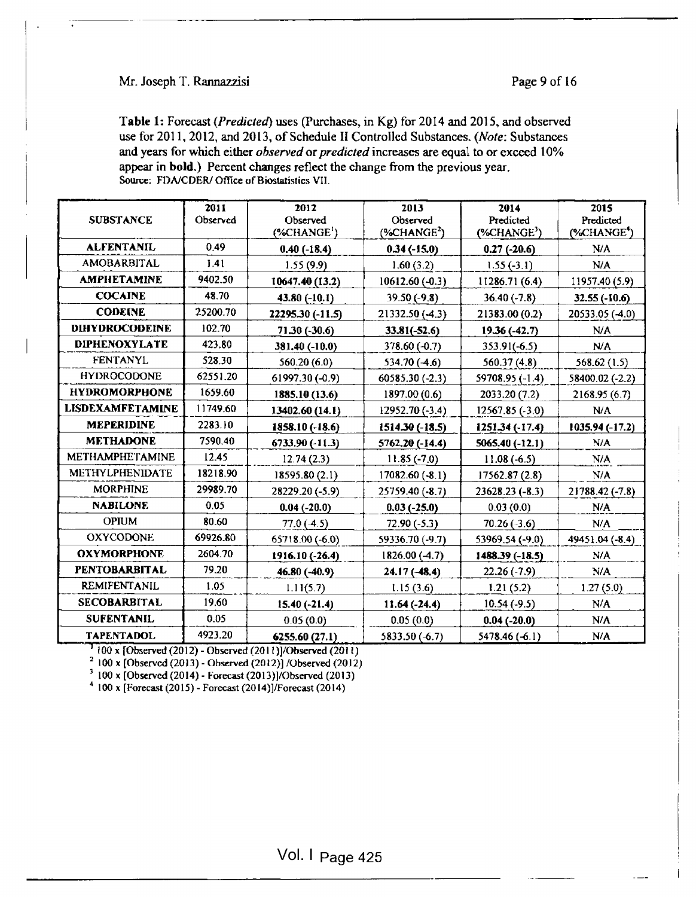### Mr. Joseph T. Rannazzisi Page 9 of 16

Table 1: Forecast (Predicted) uses (Purchases, in Kg) for 2014 and 2015, and observed use for 2011, 2012, and 2013, of Schedule II Controlled Substances. (Note: Substances and years for which either observed or predicted increases are equal to or exceed 10% appear in bold.) Percent changes reflect the change from the previous year. Source: FDA/CDER/ Office of Biostatistics VII.

| <b>SUBSTANCE</b>        | 2011<br>Observed | 2012<br>Observed<br>$(*CHANGE')$ | 2013<br>Observed<br>$(*CHANGE2)$ | 2014<br>Predicted<br>$(*CHANGE3)$ | 2015<br>Predicted<br>(%CHANGE <sup>4</sup> ) |
|-------------------------|------------------|----------------------------------|----------------------------------|-----------------------------------|----------------------------------------------|
| <b>ALFENTANIL</b>       | 0.49             | $0.40(-18.4)$                    | $0.34(-15.0)$                    | $0.27(-20.6)$                     | N/A                                          |
| <b>AMOBARBITAL</b>      | 1.41             | 1.55(9.9)                        | 1.60(3.2)                        | $1.55(-3.1)$                      | N/A                                          |
| <b>AMPHETAMINE</b>      | 9402.50          | 10647.40 (13.2)                  | 10612.60 (-0.3)                  | 11286.71 (6.4)                    | 11957.40 (5.9)                               |
| <b>COCAINE</b>          | 48.70            | 43.80 $(-10.1)$                  | $39.50(-9.8)$                    | $36.40(-7.8)$                     | $32.55(-10.6)$                               |
| <b>CODEINE</b>          | 25200.70         | 22295.30 (-11.5)                 | 21332.50 (-4.3)                  | 21383.00 (0.2)                    | 20533.05 (-4.0)                              |
| <b>DIHYDROCODEINE</b>   | 102.70           | 71.30 (-30.6)                    | $33.81(-52.6)$                   | 19.36 (-42.7)                     | N/A                                          |
| <b>DIPHENOXYLATE</b>    | 423.80           | 381.40 (-10.0)                   | 378.60 (-0.7)                    | $353.91(-6.5)$                    | N/A                                          |
| <b>FENTANYL</b>         | 528.30           | 560.20(6.0)                      | $534.70(-4.6)$                   | 560.37(4.8)                       | 568.62 (1.5)                                 |
| <b>HYDROCODONE</b>      | 62551.20         | 61997.30 (-0.9)                  | 60585.30 (-2.3)                  | 59708.95 (-1.4)                   | 58400.02 (-2.2)                              |
| <b>HYDROMORPHONE</b>    | 1659.60          | 1885.10 (13.6)                   | 1897.00 (0.6)                    | 2033.20 (7.2)                     | 2168.95(6.7)                                 |
| <b>LISDEXAMFETAMINE</b> | 11749.60         | 13402.60 (14.1)                  | 12952.70 (-3.4)                  | 12567.85 (-3.0)                   | N/A                                          |
| <b>MEPERIDINE</b>       | 2283.10          | 1858.10 (-18.6)                  | 1514.30 (-18.5)                  | 1251.34 (-17.4)                   | 1035.94 (-17.2)                              |
| <b>METHADONE</b>        | 7590.40          | 6733.90 (-11.3)                  | 5762.20 (-14.4)                  | 5065.40 (-12.1)                   | N/A                                          |
| <b>METHAMPHETAMINE</b>  | 12.45            | 12.74(2.3)                       | $11.85(-7.0)$                    | $11.08(-6.5)$                     | N/A                                          |
| METHYLPHENIDATE         | 18218.90         | 18595.80 (2.1)                   | 17082.60 (-8.1)                  | 17562.87 (2.8)                    | N/A                                          |
| <b>MORPHINE</b>         | 29989.70         | 28229.20 (-5.9)                  | 25759.40 (-8.7)                  | $23628.23(-8.3)$                  | 21788.42 (-7.8)                              |
| <b>NABILONE</b>         | 0.05             | $0.04(-20.0)$                    | $0.03(-25.0)$                    | 0.03(0.0)                         | N/A                                          |
| <b>OPIUM</b>            | 80.60            | $77.0(-4.5)$                     | $72.90(-5.3)$                    | $70.26(-3.6)$                     | N/A                                          |
| <b>OXYCODONE</b>        | 69926.80         | 65718.00 (-6.0)                  | 59336.70 (-9.7)                  | 53969.54 (-9.0)                   | 49451.04 (-8.4)                              |
| <b>OXYMORPHONE</b>      | 2604.70          | 1916.10 (-26.4)                  | $1826.00(-4.7)$                  | $1488.39(-18.5)$                  | N/A                                          |
| <b>PENTOBARBITAL</b>    | 79.20            | 46.80 (-40.9)                    | $24.17(-48.4)$                   | $22.26(-7.9)$                     | N/A                                          |
| <b>REMIFENTANIL</b>     | 1.05             | 1.11(5.7)                        | 1.15(3.6)                        | 1.21(5.2)                         | 1.27(5.0)                                    |
| <b>SECOBARBITAL</b>     | 19.60            | $15.40(-21.4)$                   | $11.64(-24.4)$                   | $10.54(-9.5)$                     | N/A                                          |
| <b>SUFENTANIL</b>       | 0.05             | 0.05(0.0)                        | 0.05(0.0)                        | $0.04$ (-20.0)                    | N/A                                          |
| <b>TAPENTADOL</b>       | 4923.20          | 6255.60 (27.1)                   | 5833.50 (-6.7)                   | 5478.46 (-6.1)                    | N/A                                          |

 $\frac{1255.60 (27.1) + 4923.20}{100 \times \text{[Observed (2012) - Observed (2011)]/Observed (2011)}}$ 

<sup>2</sup> 100 x [Observed (2013) - Observed (2012)] /Observed (2012)

<sup>3</sup> 100 x [Observed (2014) - Forecast (2013)]/Observed (2013)

 $4\,100$  x [Forecast (2015) - Forecast (2014)]/Forecast (2014)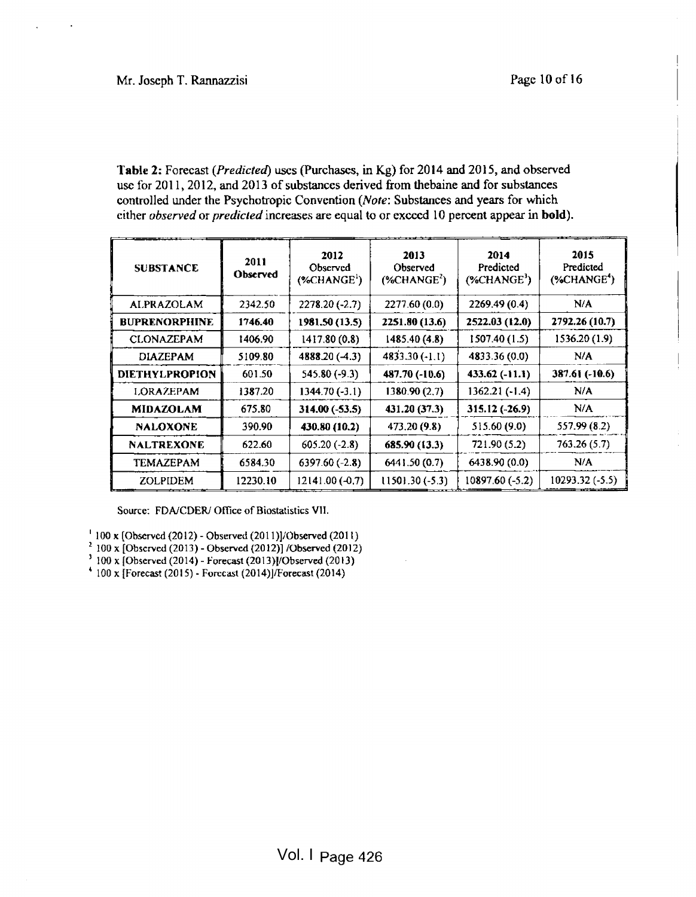Table 2: Forecast (Predicted) uses (Purchases, in Kg) for 2014 and 2015, and observed use for 2011, 2012, and 2013 of substances derived from thebaine and for substances controlled under the Psychotropic Convention (Note: Substances and years for which cither observed or predicted increases are equal to or exceed 10 percent appear in bold).

| <b>SUBSTANCE</b>      | 2011<br>Observed | 2012<br>Observed<br>(% HANGE <sup>1</sup> ) | 2013<br>Observed<br>$(*CHANGE2)$ | 2014<br>Predicted<br>$(%$ (%CHANGE <sup>3</sup> ) | 2015<br>Predicted<br>$(*CHANGE4)$ |
|-----------------------|------------------|---------------------------------------------|----------------------------------|---------------------------------------------------|-----------------------------------|
| <b>ALPRAZOLAM</b>     | 2342.50          | $2278.20(-2.7)$                             | 2277.60 (0.0)                    | 2269.49 (0.4)                                     | N/A                               |
| <b>BUPRENORPHINE</b>  | 1746.40          | 1981.50 (13.5)                              | 2251.80 (13.6)                   | 2522.03 (12.0)                                    | 2792.26 (10.7)                    |
| <b>CLONAZEPAM</b>     | 1406.90          | 1417.80 (0.8)                               | 1485.40 (4.8)                    | 1507.40(1.5)                                      | 1536.20 (1.9)                     |
| <b>DIAZEPAM</b>       | 5109.80          | 4888.20 (-4.3)                              | $4833.30(-1.1)$                  | 4833.36 (0.0)                                     | N/A                               |
| <b>DIETHYLPROPION</b> | 601.50           | 545.80 (-9.3)                               | 487.70 (-10.6)                   | $433.62(-11.1)$                                   | 387.61 (-10.6)                    |
| <b>LORAZEPAM</b>      | 1387.20          | $1344.70(-3.1)$                             | 1380.90 (2.7)                    | $1362.21(-1.4)$                                   | N/A                               |
| <b>MIDAZOLAM</b>      | 675.80           | $314.00(-53.5)$                             | 431.20 (37.3)                    | 315.12 (-26.9)                                    | N/A                               |
| <b>NALOXONE</b>       | 390.90           | 430.80 (10.2)                               | 473.20 (9.8)                     | 515.60 (9.0)                                      | 557.99 (8.2)                      |
| <b>NALTREXONE</b>     | 622.60           | $605.20(-2.8)$                              | 685.90 (13.3)                    | 721.90 (5.2)                                      | 763.26(5.7)                       |
| TEMAZEPAM             | 6584.30          | $6397.60(-2.8)$                             | 6441.50 (0.7)                    | 6438.90 (0.0)                                     | N/A                               |
| <b>ZOLPIDEM</b>       | 12230.10         | $12141.00(-0.7)$                            | $11501.30(-5.3)$                 | 10897 60 (-5.2)                                   | 10293.32 (-5.5)                   |

Source: FDA/CDER/ Office of Biostatistics VII.

- 100 x [Observed (2012) Observed (201 l)]/Observed (201 1)
- $100$  x [Obscrved (2013) Observed (2012)] /Observed (2012)
- $100 \times$  [Observed (2014) Forecast (2013)]/Observed (2013)
- $4$  100 x [Forecast (2015) Forecast (2014)]/Forecast (2014)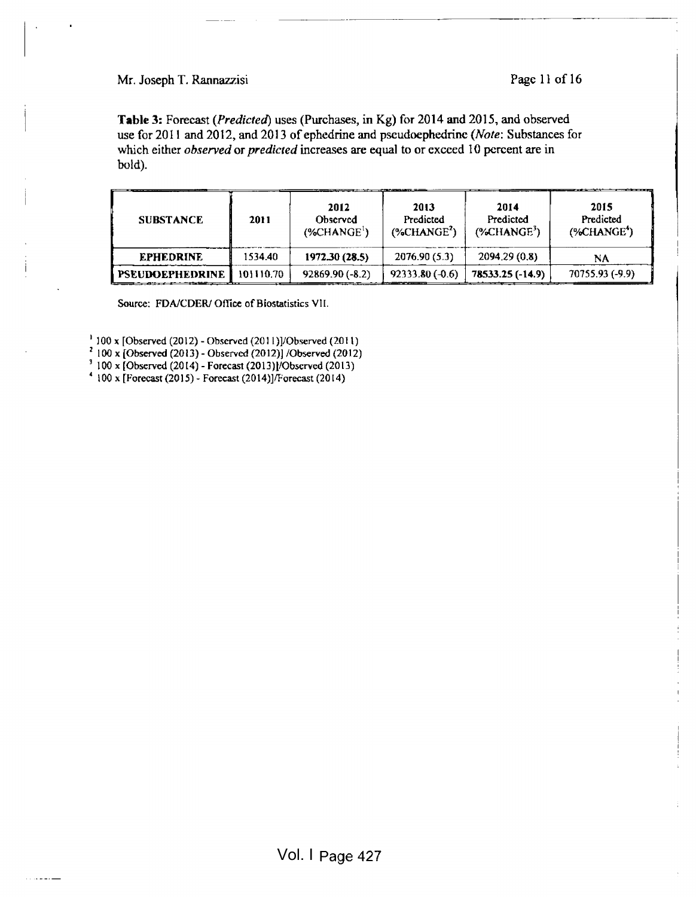Mr. Joseph T. Rannazzisi Page 11 of 16

I

I

Table 3: Forecast (Predicted) uses (Purchases, in Kg) for 2014 and 2015, and observed use for 2011 and 2012, and 2013 of ephedrine and pseudoephedrine (Note: Substances for which either observed or predicted increases are equal to or exceed 10 percent are in bold).

| <b>SUBSTANCE</b>       | 2011      | 2012<br>Observed<br>$($ %CHANGE $)$ | 2013<br>Predicted<br>$(*CHANGE2)$ | 2014<br>Predicted<br>$(*CHANGE3)$ | __<br>2015<br>Predicted<br>$(*CHANGE*)$ |
|------------------------|-----------|-------------------------------------|-----------------------------------|-----------------------------------|-----------------------------------------|
| <b>EPHEDRINE</b>       | 534.40    | 1972.30 (28.5)                      | 2076.90(5.3)                      | 2094.29 (0.8)                     | NA                                      |
| <b>PSEUDOEPHEDRINE</b> | 101110.70 | $92869.90(-8.2)$                    | $92333.80(-0.6)$                  | 78533.25 (-14.9)                  | 70755.93 (-9.9)                         |

Source: FDA/CDER/ Office of Biostatistics VII.

100 x [Observed (2012) - Observed (201 l)]/Observed (201 1)

 $^{\prime}$  100 x [Observed (2013) - Observed (2012)] /Observed (2012)  $^{\prime}$ 

<sup>1</sup> 100 x [Observed (2014) - Forecast (2013)1/Obscrvcd (2013)

<sup>4</sup> 100 x [Forecast (20 <sup>1</sup> 5)- Forecast (2014)]/Forecast (2014)

كالمستقام والمرادي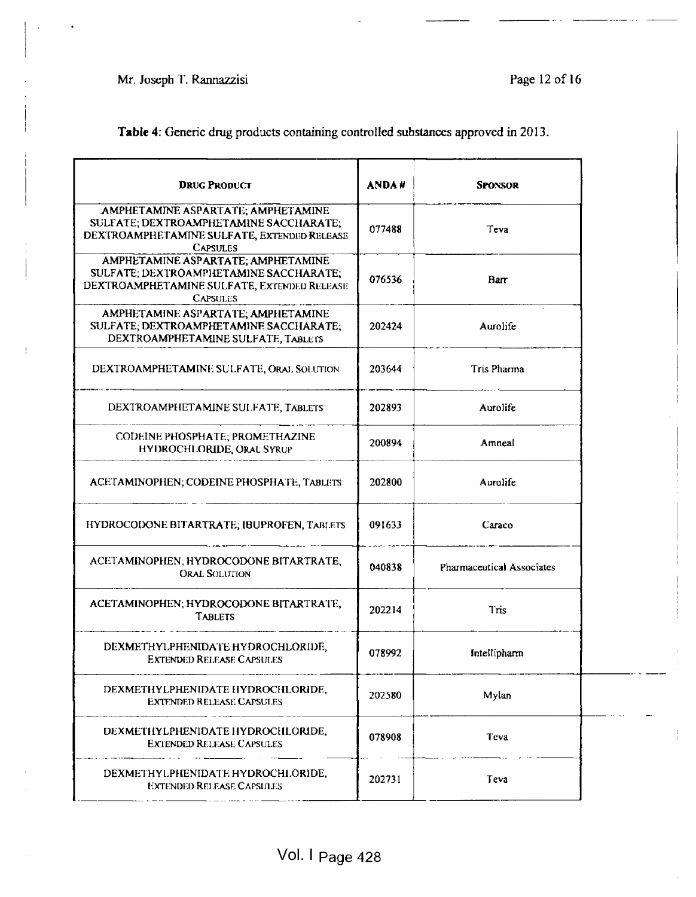Mr. Joseph T. Rannazzisi Page 12 of 16

 $\mathbf{I}$ 

I I

| <b>DRUG PRODUCT</b>                                                                                                                            | ANDA#  | <b>SPONSOR</b>                   |
|------------------------------------------------------------------------------------------------------------------------------------------------|--------|----------------------------------|
| AMPHETAMINE ASPARTATE; AMPHETAMINE<br>SULFATE; DEXTROAMPHETAMINE SACCHARATE;<br>DEXTROAMPHETAMINE SULFATE, EXTENDED RELEASE<br><b>CAPSULES</b> | 077488 | Teva                             |
| AMPHETAMINE ASPARTATE; AMPHETAMINE<br>SULFATE; DEXTROAMPHETAMINE SACCHARATE;<br>DEXTROAMPHETAMINE SULFATE, EXTENDED RELEASE<br><b>CAPSULES</b> | 076536 | Barr                             |
| AMPHETAMINE ASPARTATE; AMPHETAMINE<br>SULFATE; DEXTROAMPHETAMINE SACCHARATE;<br>DEXTROAMPHETAMINE SULFATE, TABLETS                             | 202424 | Aurolife                         |
| DEXTROAMPHETAMINE SULFATE, ORAL SOLUTION                                                                                                       | 203644 | Tris Pharma                      |
| DEXTROAMPHETAMINE SULFATE, TABLETS                                                                                                             | 202893 | Aurolife                         |
| CODEINE PHOSPHATE; PROMETHAZINE<br>HYDROCHLORIDE, ORAL SYRUP                                                                                   | 200894 | Amneal                           |
| ACETAMINOPHEN; CODEINE PHOSPHATE, TABLETS                                                                                                      | 202800 | Aurolife                         |
| HYDROCODONE BITARTRATE; IBUPROFEN, TABLETS                                                                                                     | 091633 | Caraco                           |
| ACETAMINOPHEN; HYDROCODONE BITARTRATE,<br><b>ORAL SOLUTION</b>                                                                                 | 040838 | <b>Pharmaceutical Associates</b> |
| ACETAMINOPHEN; HYDROCODONE BITARTRATE,<br><b>TABLETS</b>                                                                                       | 202214 | Tris                             |
| DEXMETHYLPHENIDATE HYDROCHLORIDE,<br><b>EXTENDED RELEASE CAPSULES</b>                                                                          | 078992 | Intellipharm                     |
| DEXMETHYLPHENIDATE HYDROCHLORIDE,<br><b>EXTENDED RELEASE CAPSULES</b>                                                                          | 202580 | Mylan                            |
| DEXMETHYLPHENIDATE HYDROCHLORIDE,<br><b>EXTENDED RELEASE CAPSULES</b>                                                                          | 078908 | Teva                             |
| DEXMETHYLPHENIDATE HYDROCHLORIDE,                                                                                                              | 202731 | Teva                             |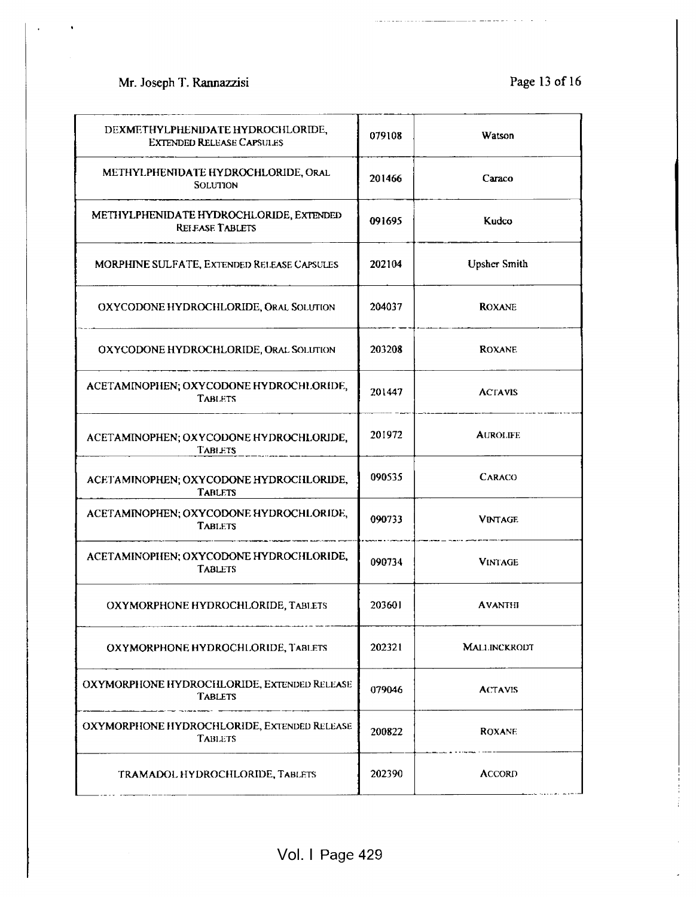# Mr. Joseph T. Rannazzisi Page 13 of 16

 $\frac{1}{2} \frac{1}{2} \frac{1}{2} \frac{1}{2} \frac{1}{2} \frac{1}{2} \frac{1}{2} \frac{1}{2} \frac{1}{2} \frac{1}{2} \frac{1}{2} \frac{1}{2} \frac{1}{2} \frac{1}{2} \frac{1}{2} \frac{1}{2} \frac{1}{2} \frac{1}{2} \frac{1}{2} \frac{1}{2} \frac{1}{2} \frac{1}{2} \frac{1}{2} \frac{1}{2} \frac{1}{2} \frac{1}{2} \frac{1}{2} \frac{1}{2} \frac{1}{2} \frac{1}{2} \frac{1}{2} \frac{$ 

 $- -$ 

. . . . . . . . . . . . . . . . . .

| DEXMETHYLPHENIDATE HYDROCHLORIDE,<br><b>EXTENDED RELEASE CAPSULES</b> | 079108 | Watson              |
|-----------------------------------------------------------------------|--------|---------------------|
| METHYLPHENIDATE HYDROCHLORIDE, ORAL<br><b>SOLUTION</b>                | 201466 | Caraco              |
| METHYLPHENIDATE HYDROCHLORIDE, EXTENDED<br><b>RELEASE TABLETS</b>     | 091695 | Kudco               |
| MORPHINE SULFATE, EXTENDED RELEASE CAPSULES                           | 202104 | <b>Upsher Smith</b> |
| OXYCODONE HYDROCHLORIDE, ORAL SOLUTION                                | 204037 | <b>ROXANE</b>       |
| OXYCODONE HYDROCHLORIDE, ORAL SOLUTION                                | 203208 | <b>ROXANE</b>       |
| ACETAMINOPHEN; OXYCODONE HYDROCHLORIDE,<br>TABLETS                    | 201447 | <b>ACTAVIS</b>      |
| ACETAMINOPHEN; OXYCODONE HYDROCHLORIDE,<br><b>TABLETS</b>             | 201972 | <b>AUROLIFE</b>     |
| ACETAMINOPHEN; OXYCODONE HYDROCHLORIDE,<br><b>TABLETS</b>             | 090535 | <b>CARACO</b>       |
| ACETAMINOPHEN; OXYCODONE HYDROCHLORIDE,<br>TABLETS                    | 090733 | <b>VINTAGE</b>      |
| ACETAMINOPHEN; OXYCODONE HYDROCHLORIDE,<br><b>TABLETS</b>             | 090734 | <b>VINTAGE</b>      |
| OXYMORPHONE HYDROCHLORIDE, TABLETS                                    | 203601 | <b>AVANTHI</b>      |
| OXYMORPHONE HYDROCHLORIDE, TABLETS                                    | 202321 | <b>MALLINCKRODT</b> |
| OXYMORPHONE HYDROCHLORIDE, EXTENDED RELEASE<br><b>TABLETS</b>         | 079046 | <b>ACTAVIS</b>      |
| OXYMORPHONE HYDROCHLORIDE, EXTENDED RELEASE<br><b>TABLETS</b>         | 200822 | <b>ROXANE</b>       |
| TRAMADOL HYDROCHLORIDE, TABLETS                                       | 202390 | <b>ACCORD</b>       |
|                                                                       |        |                     |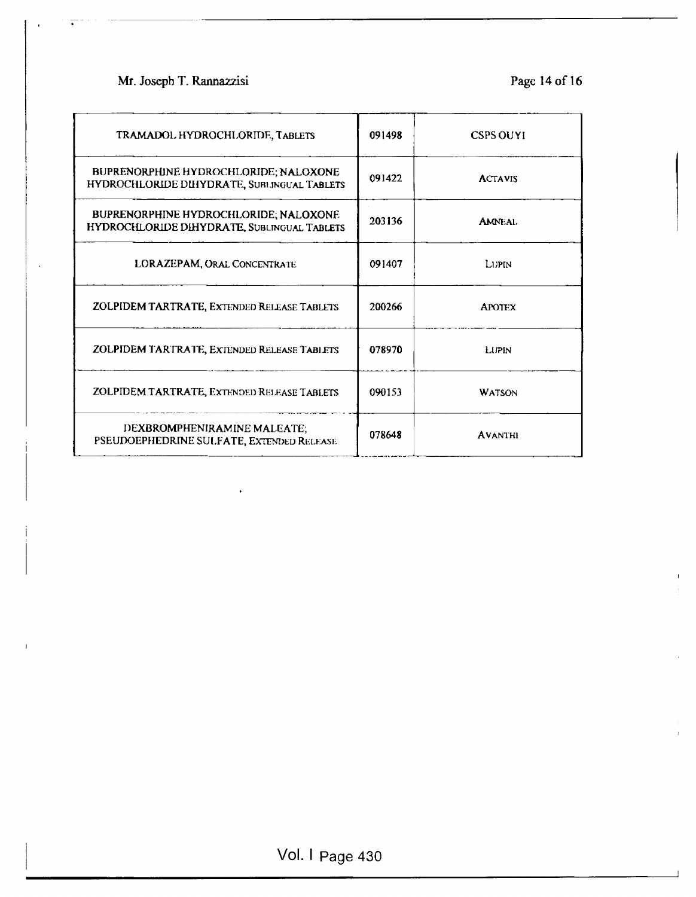## Mr. Joseph T. Rannazzisi Page 14 of 16

I

I

| TRAMADOL HYDROCHLORIDE, TABLETS                                                      | 091498 | <b>CSPS OUYI</b> |
|--------------------------------------------------------------------------------------|--------|------------------|
| BUPRENORPHINE HYDROCHLORIDE; NALOXONE<br>HYDROCHLORIDE DIHYDRATE, SUBLINGUAL TABLETS | 091422 | <b>ACTAVIS</b>   |
| BUPRENORPHINE HYDROCHLORIDE; NALOXONE<br>HYDROCHLORIDE DIHYDRATE, SUBLINGUAL TABLETS | 203136 | <b>AMNEAL</b>    |
| LORAZEPAM, ORAL CONCENTRATE                                                          | 091407 | LUPIN            |
| ZOLPIDEM TARTRATE, EXTENDED RELEASE TABLETS                                          | 200266 | <b>APOTEX</b>    |
| ZOLPIDEM TARTRATE, EXTENDED RELEASE TABLETS                                          | 078970 | <b>LUPIN</b>     |
| ZOLPIDEM TARTRATE, EXTENDED RELEASE TABLETS                                          | 090153 | <b>WATSON</b>    |
| DEXBROMPHENIRAMINE MALEATE;<br>PSEUDOEPHEDRINE SULFATE, EXTENDED RELEASE             | 078648 | <b>AVANTHI</b>   |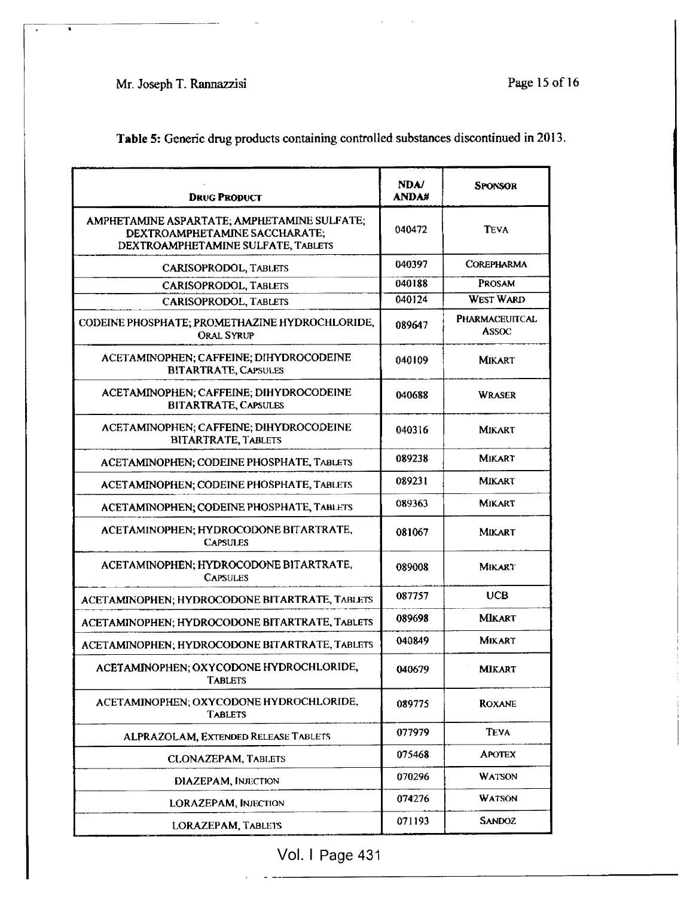# Mr. Joseph T. Rannazzisi Page 15 of 16

 $\bullet$ 

Table 5: Generic drug products containing controlled substances discontinued in 2013.

| <b>DRUG PRODUCT</b>                                                                                                | <b>NDA/</b><br><b>ANDA#</b> | <b>SPONSOR</b>                 |
|--------------------------------------------------------------------------------------------------------------------|-----------------------------|--------------------------------|
| AMPHETAMINE ASPARTATE; AMPHETAMINE SULFATE;<br>DEXTROAMPHETAMINE SACCHARATE;<br>DEXTROAMPHETAMINE SULFATE, TABLETS | 040472                      | <b>TEVA</b>                    |
| CARISOPRODOL, TABLETS                                                                                              | 040397                      | <b>COREPHARMA</b>              |
| CARISOPRODOL, TABLETS                                                                                              | 040188                      | <b>PROSAM</b>                  |
| <b>CARISOPRODOL, TABLETS</b>                                                                                       | 040124                      | <b>WEST WARD</b>               |
| CODEINE PHOSPHATE; PROMETHAZINE HYDROCHLORIDE,<br><b>ORAL SYRUP</b>                                                | 089647                      | <b>PHARMACEUITCAL</b><br>ASSOC |
| ACETAMINOPHEN; CAFFEINE; DIHYDROCODEINE<br><b>BITARTRATE, CAPSULES</b>                                             | 040109                      | <b>MIKART</b>                  |
| ACETAMINOPHEN; CAFFEINE; DIHYDROCODEINE<br><b>BITARTRATE, CAPSULES</b>                                             | 040688                      | <b>WRASER</b>                  |
| ACETAMINOPHEN; CAFFEINE; DIHYDROCODEINE<br><b>BITARTRATE, TABLETS</b>                                              | 040316                      | <b>MIKART</b>                  |
| ACETAMINOPHEN; CODEINE PHOSPHATE, TABLETS                                                                          | 089238                      | MIKART                         |
| ACETAMINOPHEN; CODEINE PHOSPHATE, TABLETS                                                                          | 089231                      | <b>MIKART</b>                  |
| ACETAMINOPHEN; CODEINE PHOSPHATE, TABLETS                                                                          | 089363                      | MIKART                         |
| ACETAMINOPHEN; HYDROCODONE BITARTRATE,<br><b>CAPSULES</b>                                                          | 081067                      | <b>MIKART</b>                  |
| ACETAMINOPHEN; HYDROCODONE BITARTRATE,<br><b>CAPSULES</b>                                                          | 089008                      | Mikart                         |
| ACETAMINOPHEN; HYDROCODONE BITARTRATE, TABLETS                                                                     | 087757                      | <b>UCB</b>                     |
| ACETAMINOPHEN; HYDROCODONE BITARTRATE, TABLETS                                                                     | 089698                      | MIKART                         |
| ACETAMINOPHEN; HYDROCODONE BITARTRATE, TABLETS                                                                     | 040849                      | <b>MIKART</b>                  |
| ACETAMINOPHEN; OXYCODONE HYDROCHLORIDE,<br><b>TABLETS</b>                                                          | 040679                      | <b>MIKART</b>                  |
| ACETAMINOPHEN; OXYCODONE HYDROCHLORIDE,<br><b>TABLETS</b>                                                          | 089775                      | <b>ROXANE</b>                  |
| ALPRAZOLAM, EXTENDED RELEASE TABLETS                                                                               | 077979                      | <b>TEVA</b>                    |
| <b>CLONAZEPAM, TABLETS</b>                                                                                         | 075468                      | <b>APOTEX</b>                  |
| <b>DIAZEPAM, INJECTION</b>                                                                                         | 070296                      | <b>WATSON</b>                  |
| <b>LORAZEPAM, INJECTION</b>                                                                                        | 074276                      | <b>WATSON</b>                  |
| LORAZEPAM, TABLETS                                                                                                 | 071193                      | <b>SANDOZ</b>                  |

Vol. I Page 431